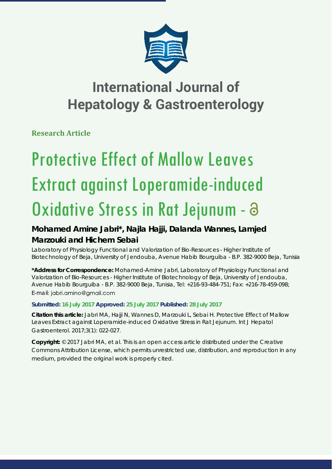

**Research Article**

# Protective Effect of Mallow Leaves Extract against Loperamide-induced Oxidative Stress in Rat Jejunum - a

### **Mohamed Amine Jabri\*, Najla Hajji, Dalanda Wannes, Lamjed Marzouki and Hichem Sebai**

*Laboratory of Physiology Functional and Valorization of Bio-Resources - Higher Institute of Biotechnology of Beja, University of Jendouba, Avenue Habib Bourguiba - B.P. 382-9000 Beja, Tunisia*

**\*Address for Correspondence:** Mohamed-Amine Jabri, Laboratory of Physiology Functional and Valorization of Bio-Resources - Higher Institute of Biotechnology of Beja, University of Jendouba, Avenue Habib Bourguiba - B.P. 382-9000 Beja, Tunisia, Tel: +216-93-484-751; Fax: +216-78-459-098; E-mail: jabri.amino@gmail.com

#### **Submitted: 16 July 2017 Approved: 25 July 2017 Published: 28 July 2017**

**Citation this article:** Jabri MA, Hajji N, Wannes D, Marzouki L, Sebai H. Protective Effect of Mallow Leaves Extract against Loperamide-induced Oxidative Stress in Rat Jejunum. Int J Hepatol Gastroenterol. 2017;3(1): 022-027.

**Copyright:** © 2017 Jabri MA, et al. This is an open access article distributed under the Creative Commons Attribution License, which permits unrestricted use, distribution, and reproduction in any medium, provided the original work is properly cited.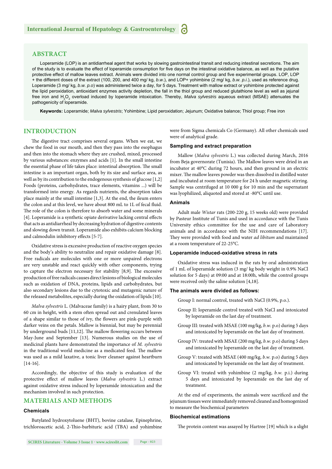#### **ABSTRACT**

Loperamide (LOP) is an antidiarrheal agent that works by slowing gastrointestinal transit and reducing intestinal secretions. The aim of the study is to evaluate the effect of loperamide consumption for five days on the intestinal oxidative balance, as well as the putative protective effect of mallow leaves extract. Animals were divided into one normal control group and five experimental groups. LOP, LOP + the different doses of the extract (100, 200, and 400 mg/ kg, *b.w*.), and LOP+ yohimbine (2 mg/ kg, *b.w. p.i*.), used as reference drug. Loperamide (3 mg/ kg, *b.w. p.o*) was administered twice a day, for 5 days. Treatment with mallow extract or yohimbine protected against the lipid peroxidation, antioxidant enzymes activity depletion, the fall in the thiol group and reduced glutathione level as well as jejunal free iron and H<sub>2</sub>O<sub>2</sub> overload induced by loperamide intoxication. Thereby, *Malva sylvestris* aqueous extract (MSAE) attenuates the pathogenicity of loperamide.

**Keywords:** Loperamide; *Malva sylvestris*; Yohimbine; Lipid peroxidation; Jejunum; Oxidative balance; Thiol group; Free iron

#### **INTRODUCTION**

The digestive tract comprises several organs. When we eat, we chew the food in our mouth, and then they pass into the esophagus and then into the stomach where they are crushed, mixed, processed by various substances: enzymes and acids [1]. In the small intestine the essential phase of life takes place: intestinal absorption. The small intestine is an important organ, both by its size and surface area, as well as by its contribution to the endogenous synthesis of glucose [1,2] Foods (proteins, carbohydrates, trace elements, vitamins ...) will be transformed into energy. As regards nutrients, the absorption takes place mainly at the small intestine [1,3]. At the end, the ileum enters the colon and at this level, we have about 800 mL to 1L of fecal fluid. The role of the colon is therefore to absorb water and some minerals [4]. Loperamide is a synthetic opiate derivative lacking central effects that acts as antidiarrheal by decreasing hydration of digestive contents and slowing down transit. Loperamide also exhibits calcium blocking and calmodulin inhibitory effects [5-7].

Oxidative stress is excessive production of reactive oxygen species and the body's ability to neutralize and repair oxidative damage [8]. Free radicals are molecules with one or more unpaired electrons are very unstable and react quickly with other components, trying to capture the electron necessary for stability  $[8,9]$ . The excessive production of free radicals causes direct lesions of biological molecules such as oxidation of DNA, proteins, lipids and carbohydrates, but also secondary lesions due to the cytotoxic and mutagenic nature of the released metabolites, especially during the oxidation of lipids [10].

*Malva sylvestris* L. (Malvaceae family) is a hairy plant, from 30 to 60 cm in height, with a stem often spread out and crenulated leaves of a shape similar to those of ivy, the flowers are pink-purple with darker veins on the petals. Mallow is biennial, but may be perennial by underground buds  $[11,12]$ . The mallow flowering occurs between May-June and September [13]. Numerous studies on the use of medicinal plants have demonstrated the importance of *M. sylvestris* in the traditional world medicine as a medicated feed. The mallow was used as a mild laxative, a tonic liver cleanser against heartburn [14-16].

Accordingly, the objective of this study is evaluation of the protective effect of mallow leaves (*Malva sylvestris* L.) extract against oxidative stress induced by loperamide intoxication and the mechanism involved in such protection.

#### **MATERIALS AND METHODS**

#### **Chemicals**

Butylated hydroxytoluene (BHT), bovine catalase, Epinephrine, trichloroacetic acid, 2-Thio-barbituric acid (TBA) and yohimbine were from Sigma chemicals Co (Germany). All other chemicals used were of analytical grade.

#### **Sampling and extract preparation**

Mallow (*Malva sylvestris* L.) was collected during March, 2016 from Beja governorate (Tunisia). The Mallow leaves were dried in an incubator at 40°C during 72 hours, and then ground in an electric mixer. The mallow leaves powder was then dissolved in distilled water and incubated at room temperature for 24 h under magnetic stirring. Sample was centrifuged at 10 000 g for 10 min and the supernatant was lyophilized, aliquoted and stored at -80°C until use.

#### **Animals**

Adult male *Wistar* rats (200-220 g, 15 weeks old) were provided by Pasteur Institute of Tunis and used in accordance with the Tunis University ethics committee for the use and care of Laboratory animals and in accordance with the NIH recommendations [17]. They were provided with food and water *ad libitum* and maintained at a room temperature of 22-25°C.

#### **Loperamide induced-oxidative stress in rats**

Oxidative stress was induced in the rats by oral administration of 1 mL of loperamide solution (3 mg/ kg body weight in 0.9% NaCl solution for 5 days) at 09:00 and at 18:00h, while the control groups were received only the saline solution [4,18].

#### **The animals were divided as follows:**

Group I: normal control, treated with NaCl (0.9%, p.o.).

- Group II: loperamide control treated with NaCl and intoxicated by loperamide on the last day of treatment.
- Group III: treated with MSAE (100 mg/kg, *b.w*. p.o) during 5 days and intoxicated by loperamide on the last day of treatment.
- Group IV: treated with MSAE (200 mg/kg, *b.w.* p.o) during 5 days and intoxicated by loperamide on the last day of treatment.
- Group V: treated with MSAE (400 mg/kg, *b.w.* p.o) during 5 days and intoxicated by loperamide on the last day of treatment.
- Group VI: treated with yohimbine (2 mg/kg, *b.w.* p.i.) during 5 days and intoxicated by loperamide on the last day of treatment.

At the end of experiments, the animals were sacrificed and the jejunum tissues were immediately removed cleaned and homogenized to measure the biochemical parameters

#### **Biochemical estimations**

The protein content was assayed by Hartree [19] which is a slight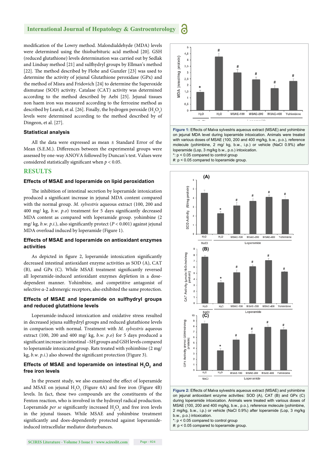modification of the Lowry method. Malondialdehyde (MDA) levels were determined using the thiobarbituric acid method [20]. GSH (reduced glutathione) levels determination was carried out by Sedlak and Lindsay method [21] and sulfhydryl groups by Ellman's method [22]. The method described by Flohe and Gunzler [23] was used to determine the activity of jejunal Glutathione peroxidase (GPx) and the method of Misra and Fridovich [24] to determine the Superoxide dismutase (SOD) activity. Catalase (CAT) activity was determined according to the method described by Aebi [25]. Jejunal tissues non haem iron was measured according to the ferrozine method as described by Leardi, et al. [26]. Finally, the hydrogen peroxide  $\rm (H_2O_2)$ levels were determined according to the method described by of Dingeon, et al. [27].

#### **Statistical analysis**

All the data were expressed as mean ± Standard Error of the Mean (S.E.M.). Differences between the experimental groups were assessed by one-way ANOVA followed by Duncan's test. Values were considered statistically significant when  $p < 0.05$ .

#### **RESULTS**

#### **Effects of MSAE and loperamide on lipid peroxidation**

The inhibition of intestinal secretion by loperamide intoxication produced a significant increase in jejunal MDA content compared with the normal group. *M. sylvestris* aqueous extract (100, 200 and 400 mg/ kg, *b.w. p.o*) treatment for 5 days significantly decreased MDA content as compared with loperamide group. yohimbine (2 mg/ kg,  $b$ .w.  $p.i$ .), also significantly protect ( $P < 0.001$ ) against jejunal MDA overload induced by loperamide (Figure 1).

#### **Effects of MSAE and loperamide on antioxidant enzymes activities**

As depicted in figure 2, loperamide intoxication significantly decreased intestinal antioxidant enzyme activities as SOD (A), CAT (B), and GPx (C). While MSAE treatment significantly reversed all loperamide-induced antioxidant enzymes depletion in a dosedependent manner. Yohimbine, and competitive antagonist of selective α-2 adrenergic receptors, also exhibited the same protection.

#### **Effects of MSAE and loperamide on sulfhydryl groups and reduced glutathione levels**

Loperamide-induced intoxication and oxidative stress resulted in decreased jejuna sulfhydryl groups and reduced glutathione levels in comparison with normal. Treatment with *M. sylvestris* aqueous extract (100, 200 and 400 mg/ kg, *b.w. p.o*) for 5 days produced a significant increase in intestinal –SH groups and GSH levels compared to loperamide intoxicated group. Rats treated with yohimbine (2 mg/ kg, *b.w. p.i.*) also showed the significant protection (Figure 3).

#### Effects of MSAE and loperamide on intestinal **H**<sub>2</sub>O<sub>2</sub> and **free iron levels**

In the present study, we also examined the effect of loperamide and MSAE on jejunal  $H_2O_2$  (Figure 4A) and free iron (Figure 4B) levels. In fact, these two compounds are the constituents of the Fenton reaction, who is involved in the hydroxyl radical production. Loperamide *per se* significantly increased  $H_2O_2$  and free iron levels in the jejunal tissues. While MSAE and yohimbine treatment significantly and does-dependently protected against loperamideinduced intracellular mediator disturbances.



**Figure 1:** Effects of Malva sylvestris aqueous extract (MSAE) and yohimbine on jejunal MDA level during loperamide intoxication. Animals were treated with various doses of MSAE (100, 200 and 400 mg/kg, b.w., p.o.), reference molecule (yohimbine, 2 mg/ kg, b.w., i.p.) or vehicle (NaCl 0.9%) after loperamide (Lop, 3 mg/kg b.w., p.o.) intoxication. \*: p < 0.05 compared to control group

#: p < 0.05 compared to loperamide group.



**Figure 2:** Effects of Malva sylvestris aqueous extract (MSAE) and yohimbine on jejunal antioxidant enzyme activities: SOD (A), CAT (B) and GPx (C) during loperamide intoxication. Animals were treated with various doses of MSAE (100, 200 and 400 mg/kg, b.w., p.o.), reference molecule (yohimbine, 2 mg/kg, b.w., i.p.) or vehicle (NaCl 0.9%) after loperamide (Lop, 3 mg/kg b.w., p.o.) intoxication.

\*: p < 0.05 compared to control group

#: p < 0.05 compared to loperamide group.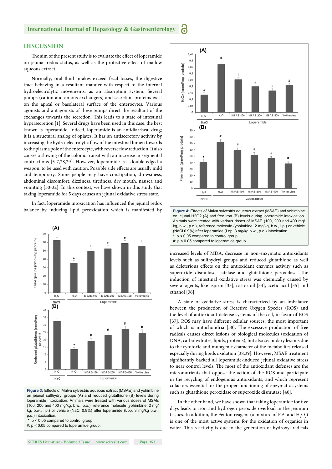#### **DISCUSSION**

The aim of the present study is to evaluate the effect of loperamide on jejunal redox status, as well as the protective effect of mallow aqueous extract.

Normally, oral fluid intakes exceed fecal losses, the digestive tract behaving in a resultant manner with respect to the internal hydroelectrolytic movements, as an absorption system. Several pumps (cation and anions exchangers) and secretion proteins exist on the apical or basolateral surface of the enterocytes. Various agonists and antagonists of these pumps direct the resultant of the exchanges towards the secretion. This leads to a state of intestinal hypersecretion [1]. Several drugs have been used in this case, the best known is loperamide. Indeed, loperamide is an antidiarrheal drug; it is a structural analog of opiates. It has an antisecretory activity by increasing the hydro-electrolytic flow of the intestinal lumen towards to the plasma pole of the enterocyte, with reverse flow reduction. It also causes a slowing of the colonic transit with an increase in segmental contractions [5-7,28,29]. However, loperamide is a double-edged a weapon, to be used with caution. Possible side effects are usually mild and temporary. Some people may have constipation, drowsiness, abdominal discomfort, dizziness, tiredness, dry mouth, nausea and vomiting [30-32]. In this context, we have shown in this study that taking loperamide for 5 days causes an jejunal oxidative stress state.

In fact, loperamide intoxication has influenced the jejunal redox balance by inducing lipid peroxidation which is manifested by



**Figure 3:** Effects of Malva sylvestris aqueous extract (MSAE) and yohimbine on jejunal sulfhydryl groups (A) and reduced glutathione (B) levels during loperamide intoxication. Animals were treated with various doses of MSAE (100, 200 and 400 mg/kg, b.w., p.o.), reference molecule (yohimbine, 2 mg/ kg, b.w., i.p.) or vehicle (NaCl 0.9%) after loperamide (Lop, 3 mg/kg b.w., p.o.) intoxication.

\*: p < 0.05 compared to control group

#: p < 0.05 compared to loperamide group.



increased levels of MDA, decrease in non-enzymatic antioxidants levels such as sulfhydryl groups and reduced glutathione as well as deleterious effects on the antioxidant enzymes activity such as superoxide dismutase, catalase and glutathione peroxidase. The induction of intestinal oxidative stress was chemically caused by several agents, like aspirin [33], castor oil [34], acetic acid [35] and ethanol [36].

A state of oxidative stress is characterized by an imbalance between the production of Reactive Oxygen Species (ROS) and the level of antioxidant defense systems of the cell, in favor of ROS [37]. ROS may have different cellular sources, the most important of which is mitochondria [38]. The excessive production of free radicals causes direct lesions of biological molecules (oxidation of DNA, carbohydrates, lipids, proteins), but also secondary lesions due to the cytotoxic and mutagenic character of the metabolites released especially during lipids oxidation [38,39]. However, MSAE treatment significantly backed all loperamide-induced jejunal oxidative stress to near control levels. The most of the antioxidant defenses are the micronutrients that oppose the action of the ROS and participate in the recycling of endogenous antioxidants, and which represent cofactors essential for the proper functioning of enzymatic systems such as glutathione peroxidase or superoxide dismutase [40].

In the other hand, we have shown that taking loperamide for five days leads to iron and hydrogen peroxide overload in the jejunum tissues. In addition, the Fenton reagent (a mixture of  $\text{Fe}^{2+}$  and  $\text{H}_{2}\text{O}_{2}$ ) is one of the most active systems for the oxidation of organics in water. This reactivity is due to the generation of hydroxyl radicals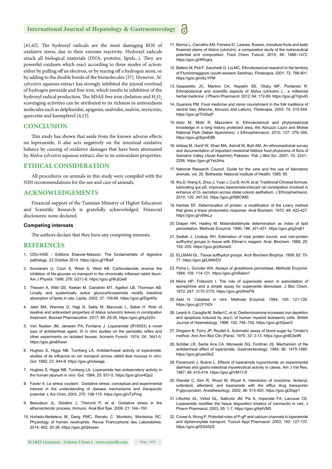[41,42]. The hydroxyl radicals are the most damaging ROS of oxidative stress, due to their extreme reactivity. Hydroxyl radicals attack all biological materials (DNA, proteins, lipids...). They are powerful oxidants which react according to three modes of action: either by pulling off an electron, or by tearing off a hydrogen atom, or by adding to the double bonds of the biomolecules [37]. However, *M. sylvestris* aqueous extract has strongly inhibited the jejunal overload of hydrogen peroxide and free iron, which results in inhibition of the hydroxyl radical production. The MSAE free iron chelation and  $\rm{H}_{2}\rm{O}_{2}$ scavenging activities can be attributed to its richness in antioxidants molecules such as delphinidin, apigenin, malvidin, malvin, myricetin, quercetin and kaempferol [4,13].

#### **CONCLUSION**

This study has shown that aside from the known adverse effects on loperamide, It also acts negatively on the intestinal oxidative balance by causing of oxidative damages that have been attenuated by *Malva sylvestris* aqueous extract, due to its antioxidant properties.

#### **ETHICAL CONSIDERATION**

All procedures on animals in this study were compiled with the NIH recommendations for the use and care of animals.

#### **ACKNOWLEDGEMENTS**

Financial support of the Tunisian Ministry of Higher Education and Scientific Research is gratefully acknowledged. Financial disclosures: none declared.

#### **Competing interests**

The authors declare that they have any competing interests.

#### **REFERENCES**

- 1. CDU-HGE Editions Elsevier-Masson. The fundamentals of digestive pathology. 22 October 2014. https://goo.gl/7ftiwF
- 2. Sundaram U, Coon S, Wisel S, West AB. Corticosteroids reverse the inhibition of Na-glucose co transport in the chronically inflamed rabbit ileum. Am J Physiol. 1999; 276: G211-8. https://goo.gl/6UjQw8
- 3. Thiesen A, Wild GE, Keelan M, Clandinin MT, Agellon LB, Thomson AB. Locally and systemically active glucocorticosteroids modify intestinal absorption of lipids in rats. Lipids. 2002; 37: 159-66. https://goo.gl/DgvKfa
- 4. Jabri MA, Wannes D, Hajji N, Sakly M, Marzouki L, Sebai H. Role of laxative and antioxidant properties of *Malva sylvestris* leaves in constipation treatment. Biomed Pharmacother. 2017; 89: 29-35. https://goo.gl/ky2zDv
- 5. Van Nueten JM, Janssen PA, Fontaine J. Loperamide (R18553) a novel type of antidiarrheal agent. III *In vitro* studies on the peristaltic reflex and other experiments on isolated tissues. Arzneim Forsch. 1974; 24: 1641-5. https://goo.gl/a8Awsn
- 6. Hughes S, Higgs NB, Turnberg LA. Antidiarrhoeal activity of loperamide: studies of its influence on ion transport across rabbit ileal mucosa *in vitro*. Gut. 1982; 23: 944-9. https://goo.gl/sAeaga
- 7. Hughes S, Higgs NB, Turnberg LA. Loperamide has antisecretory activity in the human jejunum *in vivo*. Gut. 1984; 25: 931-5. https://goo.gl/un4Qp2
- 8. Favier A. Le stress oxydant : Oxidative stress: conceptual and experimental interest in the understanding of disease mechanisms and therapeutic potential. L'Act Chim. 2003; 270 :108-115. https://goo.gl/vTzPmg
- 9. Beaudeux JL, Delattre J, Therond P, et al. Oxidative stress in the atherosclerotic process. Immuno. Anal Biol Spe. 2006; 21: 144–150.
- 10. Hurtado-Nedeleca M, Dang PMC, Renato C. Monteiro, Monteiroa RC. Physiology of human neutrophils. Revue Francophone des Laboratoires. 2014; 462: 25-38. https://goo.gl/Q4zeen
- 11. Barros L, Carvalho AM, Ferreira IC. Leaves, flowers, immature fruits and leafy flowered stems of *Malva sylvestris*: a comparative study of the nutraceutical potential and composition. Food Chem Toxicol. 2010; 48: 1466–1472. https://goo.gl/4Rcgrq
- 12. Ballero M, Poli F, Sacchetti G, Loi MC. Ethnobotanical research in the territory of Fluminimaggiore (south-western Sardinia). Fitoterapia. 2001; 72: 788-801. https://goo.gl/mkLYPM
- 13. Gasparetto JC, Martins CA, Hayashi SS, Otuky MF, Pontarolo R. Ethnobotanical and scientific aspects of *Malva sylvestris* L.: a millennial herbal medicine. J Pharm Pharmacol. 2012; 64: 172-89. https://goo.gl/YgnvEi
- 14. Guarrera PM. Food medicine and minor nourishment in the folk traditions of central Italy (Marche, Abruzzo and Latium). Fitoterapia. 2003; 74: 515-544. https://goo.gl/7hXbqP
- 15. Idolo M, Motti R, Mazzoleni S. Ethnobotanical and phytomedicinal knowledge in a long history protected area, the Abruzzo Lazio and Molise National Park (Italian Apennines). J Ethnopharmacol. 2010; 127: 379–395. https://goo.gl/SqmE8B
- 16. Ishtiaq M, Hanif W, Khan MA, Ashraf M, Butt AM. An ethnomedicinal survey and documentation of important medicinal folklore food phytonims of flora of Samahni Valley (Azad Kashmir) Pakistan. Pak J Biol Sci. 2007; 10: 2241– 2256. https://goo.gl/YeUhhs
- 17. National Research Council. Guide for the care and the use of laboratory animals, vol. 20. Bethesda: National Institute of Health; 1985: 85.
- 18. Wu D, Wang X, Zhou J, Yuan J, Cui B, An R, et al. Traditional Chinese formula, lubricating gut pill, improves loperamide-induced rat constipation involved in enhance of Cl- secretion across distal colonic epithelium. J Ethnopharmacol. 2010; 130: 347-53. https://goo.gl/RBCtMS
- 19. Hartree EF. Determination of protein: a modification of the Lowry method that gives a linear photometric response. Anal Biochem. 1972; 48: 422-427. https://goo.gl/v99sLp
- 20. Draper HH, Hadley M. Malondialdehyde determination as index of lipid peroxidation. Methods Enzymol. 1990; 186: 421-431. https://goo.gl/g2rq61
- 21. Sedlak J, Lindsay RH. Estimation of total protein bound, and non-protein sulfhydryl groups in tissue with Ellman's reagent. Anal. Biochem. 1968; 25: 192–205. https://goo.gl/p9xnwG
- 22. ELLMAN GL. Tissue sulfhydryl groups. Arch Biochem Biophys. 1959; 82: 70- 77. https://goo.gl/LM4hDV
- 23. Flohe L, Gunzler WA. Assays of glutathione peroxidase. Methods Enzymol. 1984; 105: 114-121. https://goo.gl/xRakm1
- 24. Misra HP, Fridovich I. The role of superoxide anion in autoxidation of epinephrine and a simple assay for superoxide dismutase. J Biol Chem. 1972; 247: 3170-3175. https://goo.gl/s5hwFN
- 25. Aebi H. Catalase *in vitro*. Methods Enzymol. 1984; 105: 121-126. https://goo.gl/JY1hDr
- 26. Leardi A, Caraglia M, Selleri C, et al. Desferrioxamine increases iron depletion and apoptosis induced by ara-C of human myeloid leukaemic cells. British Journal of Haematology. 1998; 102: 746–752. https://goo.gl/42pwr5
- 27. Dingeon B, Ferry JP, Roullet A. Automatic assay of blood sugar by Trinder's method. Ann Ann Biol Clin (Paris). 1975; 33: 3-13. https://goo.gl/dE3e9R
- 28. Schiller LR, Santa Ana CA, Morawski SG, Fordtran JS. Mechanism of the antidiarrheal effect of loperamide. Gastroenterology. 1984; 86: 1475-1480. https://goo.gl/uwxSbZ
- 29. Fioramonti J, Buéno L. Effects of loperamide hypochloride on experimental diarrhea and gastro-intestinal myoelectrical activity in calves. Am J Vet Res. 1987; 48: 415-419. https://goo.gl/VM1YJf
- 30. Wandel C, Kim R, Wood M, Wood A. Interaction of morphine, fentanyl, sufentanil, alfentanil, and loperamide with the efflux drug transporter P-glycoprotein. Anesthesiology. 2002; 96: 913-920. https://goo.gl/Zbpjr1
- 31. Lifschitz AL, Virkel GL, Sallovitz JM, Pis A, Imperiale FA, Lanusse CE. Loperamide modifies the tissue disposition kinetics of ivermectin in rats. J Pharm Pharmacol. 2003; 55: 1-7. https://goo.gl/kj4VM5
- 32. Crowe A, Wong P. Potential roles of P-gP and calcium channels in loperamide and diphenoxylate transport. Toxicol Appl Pharmacol. 2003; 193: 127-137. https://goo.gl/DG452S